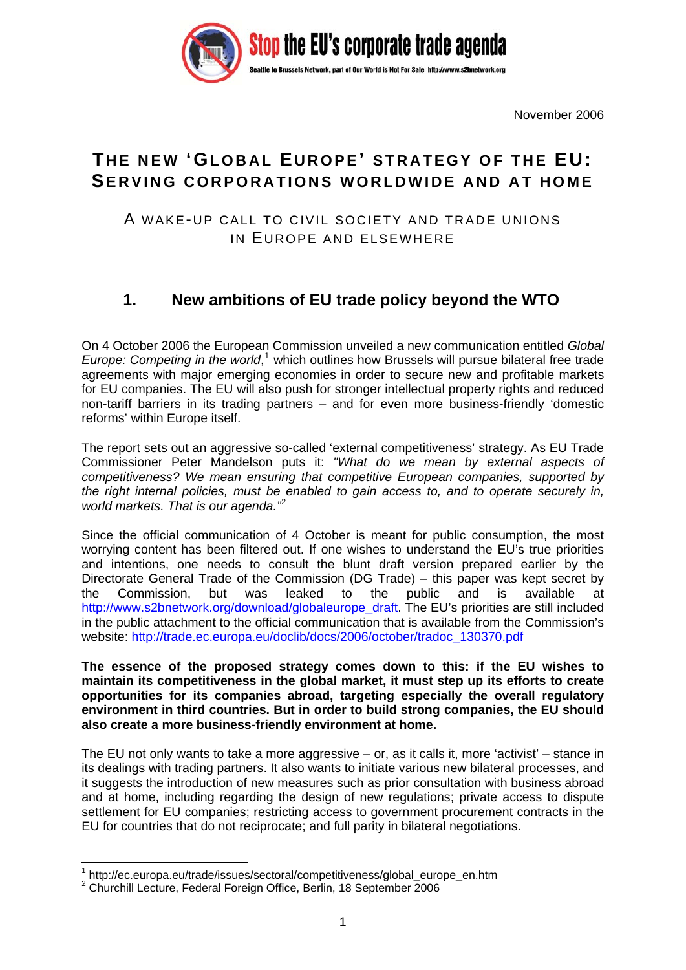

November 2006

# **T HE NEW 'GLOBAL E UROPE' STRATEGY OF THE EU: SERVING CORPORATIONS WORLDWIDE AND AT HOME**

### A WAKE-UP CALL TO CIVIL SOCIETY AND TRADE UNIONS IN EUROPE AND ELSEWHERE

## **1. New ambitions of EU trade policy beyond the WTO**

On 4 October 2006 the European Commission unveiled a new communication entitled *Global Europe: Competing in the world*,<sup>[1](#page-0-0)</sup> which outlines how Brussels will pursue bilateral free trade agreements with major emerging economies in order to secure new and profitable markets for EU companies. The EU will also push for stronger intellectual property rights and reduced non-tariff barriers in its trading partners – and for even more business-friendly 'domestic reforms' within Europe itself.

The report sets out an aggressive so-called 'external competitiveness' strategy. As EU Trade Commissioner Peter Mandelson puts it: *"What do we mean by external aspects of competitiveness? We mean ensuring that competitive European companies, supported by the right internal policies, must be enabled to gain access to, and to operate securely in, world markets. That is our agenda."*[2](#page-0-1)

Since the official communication of 4 October is meant for public consumption, the most worrying content has been filtered out. If one wishes to understand the EU's true priorities and intentions, one needs to consult the blunt draft version prepared earlier by the Directorate General Trade of the Commission (DG Trade) – this paper was kept secret by the Commission, but was leaked to the public and is available at [http://www.s2bnetwork.org/download/globaleurope\\_draft](http://www.s2bnetwork.org/download/globaleurope_draft). The EU's priorities are still included in the public attachment to the official communication that is available from the Commission's website: [http://trade.ec.europa.eu/doclib/docs/2006/october/tradoc\\_130370.pdf](http://trade.ec.europa.eu/doclib/docs/2006/october/tradoc_130370.pdf)

**The essence of the proposed strategy comes down to this: if the EU wishes to maintain its competitiveness in the global market, it must step up its efforts to create opportunities for its companies abroad, targeting especially the overall regulatory environment in third countries. But in order to build strong companies, the EU should also create a more business-friendly environment at home.** 

The EU not only wants to take a more aggressive – or, as it calls it, more 'activist' – stance in its dealings with trading partners. It also wants to initiate various new bilateral processes, and it suggests the introduction of new measures such as prior consultation with business abroad and at home, including regarding the design of new regulations; private access to dispute settlement for EU companies; restricting access to government procurement contracts in the EU for countries that do not reciprocate; and full parity in bilateral negotiations.

-

<span id="page-0-0"></span><sup>1</sup> [http://ec.europa.eu/trade/issues/sectoral/competitiveness/global\\_europe\\_en.htm](http://ec.europa.eu/trade/issues/sectoral/competitiveness/global_europe_en.htm) 2

<span id="page-0-1"></span> $2$  Churchill Lecture, Federal Foreign Office, Berlin, 18 September 2006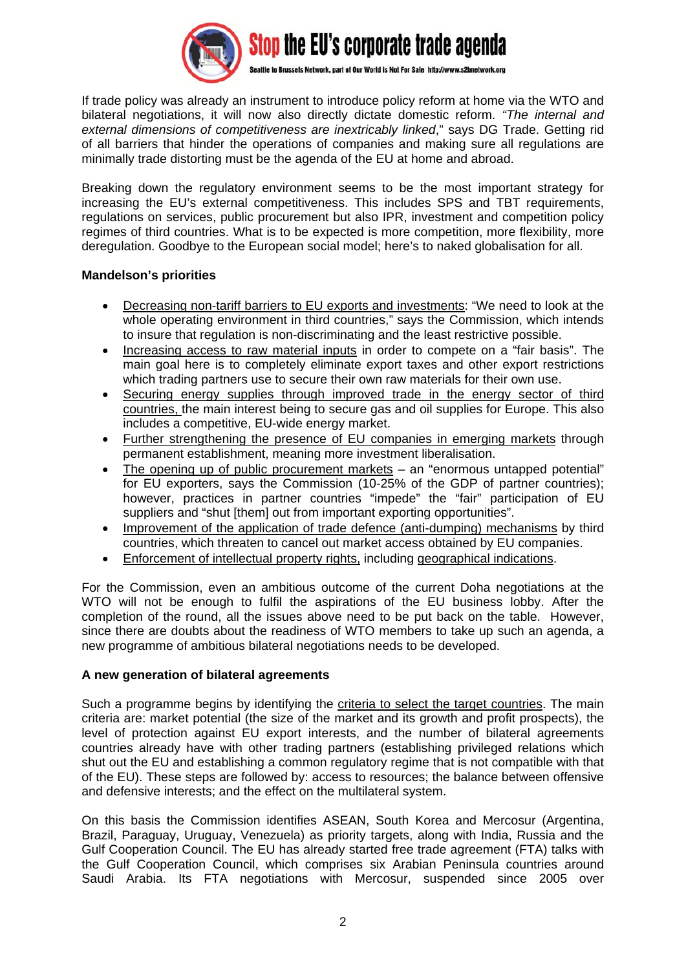

If trade policy was already an instrument to introduce policy reform at home via the WTO and bilateral negotiations, it will now also directly dictate domestic reform. *"The internal and external dimensions of competitiveness are inextricably linked*," says DG Trade. Getting rid of all barriers that hinder the operations of companies and making sure all regulations are minimally trade distorting must be the agenda of the EU at home and abroad.

Breaking down the regulatory environment seems to be the most important strategy for increasing the EU's external competitiveness. This includes SPS and TBT requirements, regulations on services, public procurement but also IPR, investment and competition policy regimes of third countries. What is to be expected is more competition, more flexibility, more deregulation. Goodbye to the European social model; here's to naked globalisation for all.

#### **Mandelson's priorities**

- Decreasing non-tariff barriers to EU exports and investments: "We need to look at the whole operating environment in third countries," says the Commission, which intends to insure that regulation is non-discriminating and the least restrictive possible.
- Increasing access to raw material inputs in order to compete on a "fair basis". The main goal here is to completely eliminate export taxes and other export restrictions which trading partners use to secure their own raw materials for their own use.
- Securing energy supplies through improved trade in the energy sector of third countries, the main interest being to secure gas and oil supplies for Europe. This also includes a competitive, EU-wide energy market.
- Further strengthening the presence of EU companies in emerging markets through permanent establishment, meaning more investment liberalisation.
- The opening up of public procurement markets an "enormous untapped potential" for EU exporters, says the Commission (10-25% of the GDP of partner countries); however, practices in partner countries "impede" the "fair" participation of EU suppliers and "shut [them] out from important exporting opportunities".
- Improvement of the application of trade defence (anti-dumping) mechanisms by third countries, which threaten to cancel out market access obtained by EU companies.
- Enforcement of intellectual property rights, including geographical indications.

For the Commission, even an ambitious outcome of the current Doha negotiations at the WTO will not be enough to fulfil the aspirations of the EU business lobby. After the completion of the round, all the issues above need to be put back on the table. However, since there are doubts about the readiness of WTO members to take up such an agenda, a new programme of ambitious bilateral negotiations needs to be developed.

#### **A new generation of bilateral agreements**

Such a programme begins by identifying the criteria to select the target countries. The main criteria are: market potential (the size of the market and its growth and profit prospects), the level of protection against EU export interests, and the number of bilateral agreements countries already have with other trading partners (establishing privileged relations which shut out the EU and establishing a common regulatory regime that is not compatible with that of the EU). These steps are followed by: access to resources; the balance between offensive and defensive interests; and the effect on the multilateral system.

On this basis the Commission identifies ASEAN, South Korea and Mercosur (Argentina, Brazil, Paraguay, Uruguay, Venezuela) as priority targets, along with India, Russia and the Gulf Cooperation Council. The EU has already started free trade agreement (FTA) talks with the Gulf Cooperation Council, which comprises six Arabian Peninsula countries around Saudi Arabia. Its FTA negotiations with Mercosur, suspended since 2005 over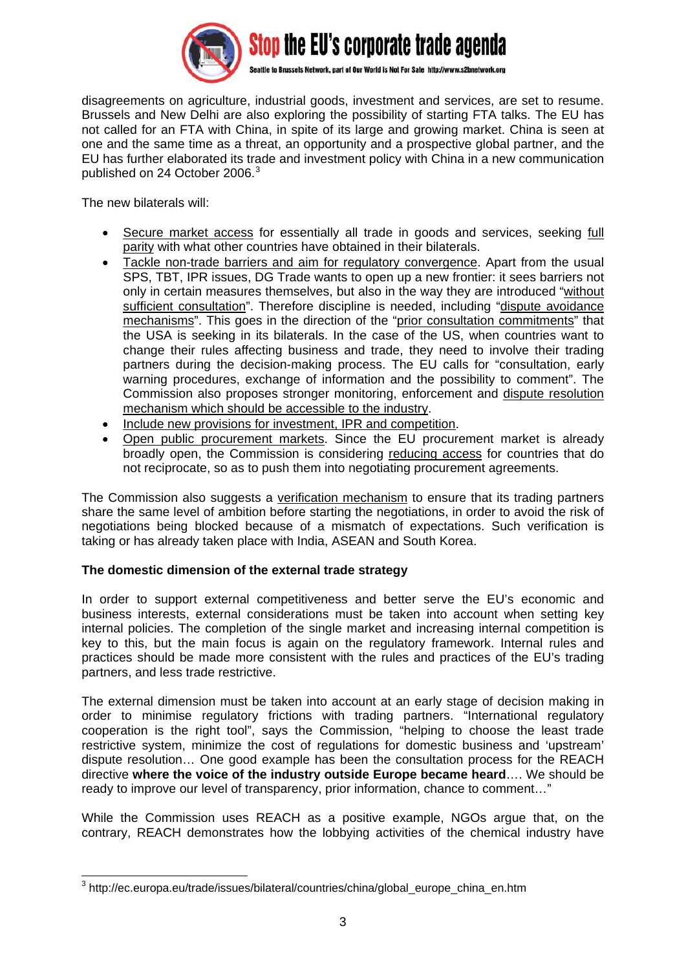

disagreements on agriculture, industrial goods, investment and services, are set to resume. Brussels and New Delhi are also exploring the possibility of starting FTA talks. The EU has not called for an FTA with China, in spite of its large and growing market. China is seen at one and the same time as a threat, an opportunity and a prospective global partner, and the EU has further elaborated its trade and investment policy with China in a new communication published on 24 October 2006.<sup>[3](#page-2-0)</sup>

The new bilaterals will:

- Secure market access for essentially all trade in goods and services, seeking full parity with what other countries have obtained in their bilaterals.
- Tackle non-trade barriers and aim for regulatory convergence. Apart from the usual SPS, TBT, IPR issues, DG Trade wants to open up a new frontier: it sees barriers not only in certain measures themselves, but also in the way they are introduced "without sufficient consultation". Therefore discipline is needed, including "dispute avoidance mechanisms". This goes in the direction of the "prior consultation commitments" that the USA is seeking in its bilaterals. In the case of the US, when countries want to change their rules affecting business and trade, they need to involve their trading partners during the decision-making process. The EU calls for "consultation, early warning procedures, exchange of information and the possibility to comment". The Commission also proposes stronger monitoring, enforcement and dispute resolution mechanism which should be accessible to the industry.
- Include new provisions for investment, IPR and competition.
- Open public procurement markets. Since the EU procurement market is already broadly open, the Commission is considering reducing access for countries that do not reciprocate, so as to push them into negotiating procurement agreements.

The Commission also suggests a verification mechanism to ensure that its trading partners share the same level of ambition before starting the negotiations, in order to avoid the risk of negotiations being blocked because of a mismatch of expectations. Such verification is taking or has already taken place with India, ASEAN and South Korea.

#### **The domestic dimension of the external trade strategy**

In order to support external competitiveness and better serve the EU's economic and business interests, external considerations must be taken into account when setting key internal policies. The completion of the single market and increasing internal competition is key to this, but the main focus is again on the regulatory framework. Internal rules and practices should be made more consistent with the rules and practices of the EU's trading partners, and less trade restrictive.

The external dimension must be taken into account at an early stage of decision making in order to minimise regulatory frictions with trading partners. "International regulatory cooperation is the right tool", says the Commission, "helping to choose the least trade restrictive system, minimize the cost of regulations for domestic business and 'upstream' dispute resolution… One good example has been the consultation process for the REACH directive **where the voice of the industry outside Europe became heard**…. We should be ready to improve our level of transparency, prior information, chance to comment…"

While the Commission uses REACH as a positive example, NGOs argue that, on the contrary, REACH demonstrates how the lobbying activities of the chemical industry have

<span id="page-2-0"></span> $\overline{1}$ <sup>3</sup> http://ec.europa.eu/trade/issues/bilateral/countries/china/global\_europe\_china\_en.htm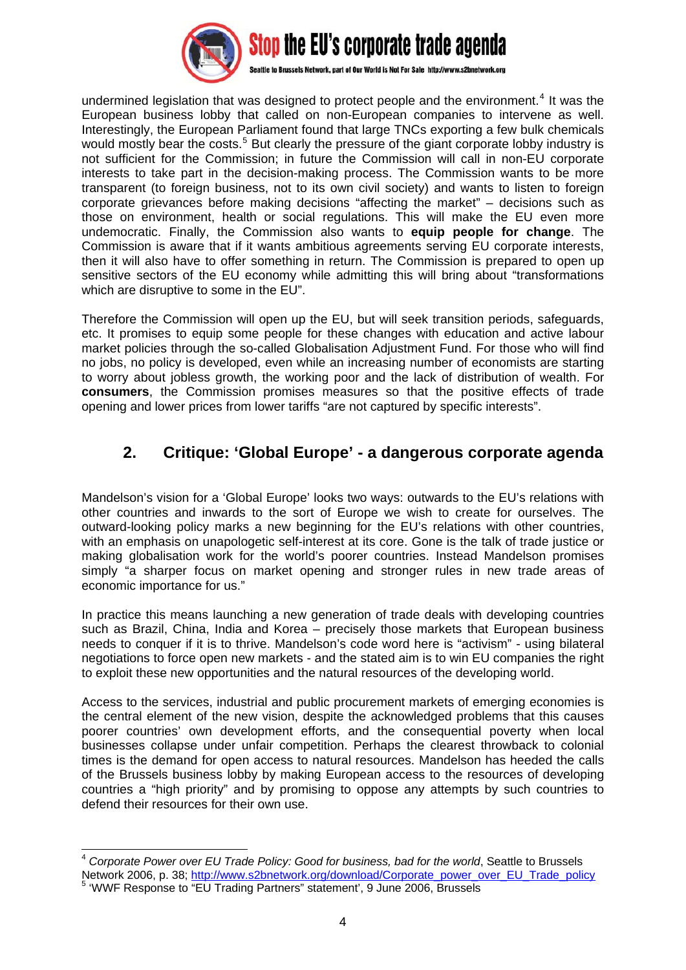

undermined legislation that was designed to protect people and the environment.<sup>[4](#page-3-0)</sup> It was the European business lobby that called on non-European companies to intervene as well. Interestingly, the European Parliament found that large TNCs exporting a few bulk chemicals would mostly bear the costs.<sup>[5](#page-3-1)</sup> But clearly the pressure of the giant corporate lobby industry is not sufficient for the Commission; in future the Commission will call in non-EU corporate interests to take part in the decision-making process. The Commission wants to be more transparent (to foreign business, not to its own civil society) and wants to listen to foreign corporate grievances before making decisions "affecting the market" – decisions such as those on environment, health or social regulations. This will make the EU even more undemocratic. Finally, the Commission also wants to **equip people for change**. The Commission is aware that if it wants ambitious agreements serving EU corporate interests, then it will also have to offer something in return. The Commission is prepared to open up sensitive sectors of the EU economy while admitting this will bring about "transformations which are disruptive to some in the EU".

Therefore the Commission will open up the EU, but will seek transition periods, safeguards, etc. It promises to equip some people for these changes with education and active labour market policies through the so-called Globalisation Adjustment Fund. For those who will find no jobs, no policy is developed, even while an increasing number of economists are starting to worry about jobless growth, the working poor and the lack of distribution of wealth. For **consumers**, the Commission promises measures so that the positive effects of trade opening and lower prices from lower tariffs "are not captured by specific interests".

## **2. Critique: 'Global Europe' - a dangerous corporate agenda**

Mandelson's vision for a 'Global Europe' looks two ways: outwards to the EU's relations with other countries and inwards to the sort of Europe we wish to create for ourselves. The outward-looking policy marks a new beginning for the EU's relations with other countries, with an emphasis on unapologetic self-interest at its core. Gone is the talk of trade justice or making globalisation work for the world's poorer countries. Instead Mandelson promises simply "a sharper focus on market opening and stronger rules in new trade areas of economic importance for us."

In practice this means launching a new generation of trade deals with developing countries such as Brazil, China, India and Korea – precisely those markets that European business needs to conquer if it is to thrive. Mandelson's code word here is "activism" - using bilateral negotiations to force open new markets - and the stated aim is to win EU companies the right to exploit these new opportunities and the natural resources of the developing world.

Access to the services, industrial and public procurement markets of emerging economies is the central element of the new vision, despite the acknowledged problems that this causes poorer countries' own development efforts, and the consequential poverty when local businesses collapse under unfair competition. Perhaps the clearest throwback to colonial times is the demand for open access to natural resources. Mandelson has heeded the calls of the Brussels business lobby by making European access to the resources of developing countries a "high priority" and by promising to oppose any attempts by such countries to defend their resources for their own use.

-

<span id="page-3-0"></span><sup>4</sup> *Corporate Power over EU Trade Policy: Good for business, bad for the world*, Seattle to Brussels Network 2006, p. 38; [http://www.s2bnetwork.org/download/Corporate\\_power\\_over\\_EU\\_Trade\\_policy](http://www.s2bnetwork.org/download/Corporate_power_over_EU_Trade_policy)

<span id="page-3-1"></span> <sup>&#</sup>x27;WWF Response to "EU Trading Partners" statement', 9 June 2006, Brussels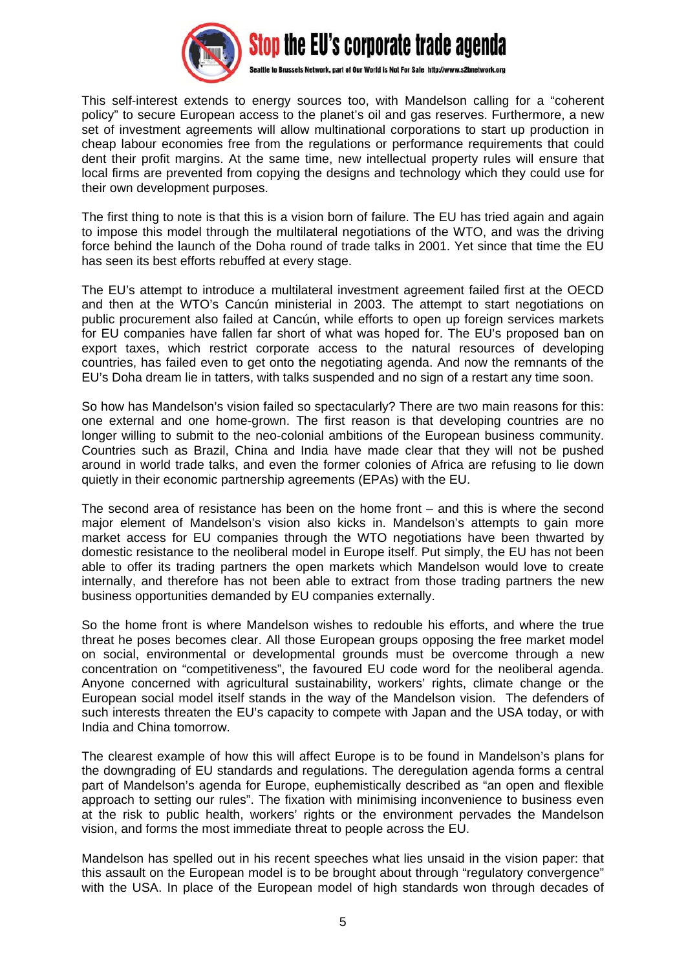

This self-interest extends to energy sources too, with Mandelson calling for a "coherent policy" to secure European access to the planet's oil and gas reserves. Furthermore, a new set of investment agreements will allow multinational corporations to start up production in cheap labour economies free from the regulations or performance requirements that could dent their profit margins. At the same time, new intellectual property rules will ensure that local firms are prevented from copying the designs and technology which they could use for their own development purposes.

The first thing to note is that this is a vision born of failure. The EU has tried again and again to impose this model through the multilateral negotiations of the WTO, and was the driving force behind the launch of the Doha round of trade talks in 2001. Yet since that time the EU has seen its best efforts rebuffed at every stage.

The EU's attempt to introduce a multilateral investment agreement failed first at the OECD and then at the WTO's Cancún ministerial in 2003. The attempt to start negotiations on public procurement also failed at Cancún, while efforts to open up foreign services markets for EU companies have fallen far short of what was hoped for. The EU's proposed ban on export taxes, which restrict corporate access to the natural resources of developing countries, has failed even to get onto the negotiating agenda. And now the remnants of the EU's Doha dream lie in tatters, with talks suspended and no sign of a restart any time soon.

So how has Mandelson's vision failed so spectacularly? There are two main reasons for this: one external and one home-grown. The first reason is that developing countries are no longer willing to submit to the neo-colonial ambitions of the European business community. Countries such as Brazil, China and India have made clear that they will not be pushed around in world trade talks, and even the former colonies of Africa are refusing to lie down quietly in their economic partnership agreements (EPAs) with the EU.

The second area of resistance has been on the home front – and this is where the second major element of Mandelson's vision also kicks in. Mandelson's attempts to gain more market access for EU companies through the WTO negotiations have been thwarted by domestic resistance to the neoliberal model in Europe itself. Put simply, the EU has not been able to offer its trading partners the open markets which Mandelson would love to create internally, and therefore has not been able to extract from those trading partners the new business opportunities demanded by EU companies externally.

So the home front is where Mandelson wishes to redouble his efforts, and where the true threat he poses becomes clear. All those European groups opposing the free market model on social, environmental or developmental grounds must be overcome through a new concentration on "competitiveness", the favoured EU code word for the neoliberal agenda. Anyone concerned with agricultural sustainability, workers' rights, climate change or the European social model itself stands in the way of the Mandelson vision. The defenders of such interests threaten the EU's capacity to compete with Japan and the USA today, or with India and China tomorrow.

The clearest example of how this will affect Europe is to be found in Mandelson's plans for the downgrading of EU standards and regulations. The deregulation agenda forms a central part of Mandelson's agenda for Europe, euphemistically described as "an open and flexible approach to setting our rules". The fixation with minimising inconvenience to business even at the risk to public health, workers' rights or the environment pervades the Mandelson vision, and forms the most immediate threat to people across the EU.

Mandelson has spelled out in his recent speeches what lies unsaid in the vision paper: that this assault on the European model is to be brought about through "regulatory convergence" with the USA. In place of the European model of high standards won through decades of